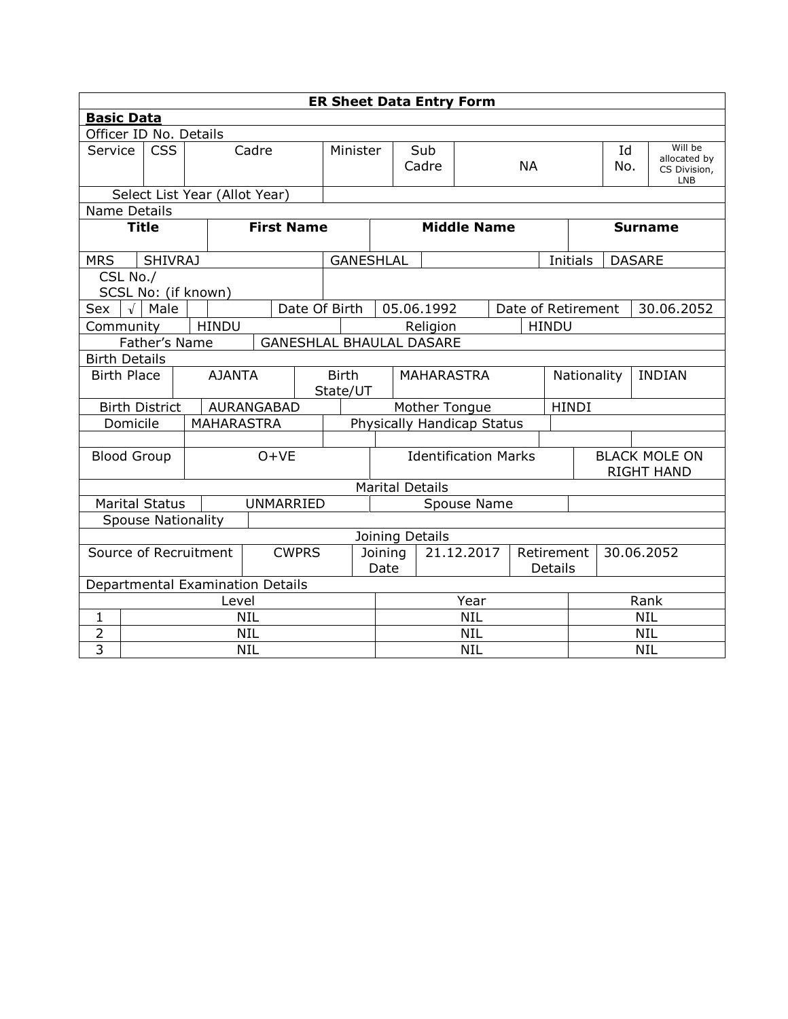|                    | <b>ER Sheet Data Entry Form</b>                  |                               |  |                   |  |                   |                        |                             |  |                                          |           |                    |         |                                           |                    |                                         |               |            |  |
|--------------------|--------------------------------------------------|-------------------------------|--|-------------------|--|-------------------|------------------------|-----------------------------|--|------------------------------------------|-----------|--------------------|---------|-------------------------------------------|--------------------|-----------------------------------------|---------------|------------|--|
| <b>Basic Data</b>  |                                                  |                               |  |                   |  |                   |                        |                             |  |                                          |           |                    |         |                                           |                    |                                         |               |            |  |
|                    |                                                  | Officer ID No. Details        |  |                   |  |                   |                        |                             |  |                                          |           |                    |         |                                           |                    |                                         |               |            |  |
| Service            |                                                  | <b>CSS</b><br>Cadre           |  |                   |  | Minister          | Sub<br>Cadre           |                             |  |                                          | <b>NA</b> |                    |         | Id<br>No.                                 |                    | Will be<br>allocated by<br>CS Division, |               |            |  |
|                    |                                                  |                               |  |                   |  |                   |                        |                             |  |                                          |           |                    |         |                                           |                    |                                         | <b>LNB</b>    |            |  |
|                    |                                                  | Select List Year (Allot Year) |  |                   |  |                   |                        |                             |  |                                          |           |                    |         |                                           |                    |                                         |               |            |  |
| Name Details       |                                                  |                               |  |                   |  |                   |                        |                             |  |                                          |           |                    |         |                                           |                    |                                         |               |            |  |
|                    | <b>Title</b>                                     |                               |  |                   |  | <b>First Name</b> |                        |                             |  |                                          |           | <b>Middle Name</b> |         |                                           |                    | <b>Surname</b>                          |               |            |  |
| <b>MRS</b>         |                                                  | <b>SHIVRAJ</b>                |  |                   |  |                   |                        | <b>GANESHLAL</b>            |  |                                          |           |                    |         |                                           |                    | <b>Initials</b>                         | <b>DASARE</b> |            |  |
|                    | CSL No./                                         |                               |  |                   |  |                   |                        |                             |  |                                          |           |                    |         |                                           |                    |                                         |               |            |  |
|                    |                                                  | SCSL No: (if known)           |  |                   |  |                   |                        |                             |  |                                          |           |                    |         |                                           |                    |                                         |               |            |  |
| Sex                | Date Of Birth<br>$\sqrt{\phantom{a}}$ Male       |                               |  |                   |  |                   |                        |                             |  | 05.06.1992                               |           |                    |         |                                           | Date of Retirement |                                         |               | 30.06.2052 |  |
|                    | <b>HINDU</b><br>Community                        |                               |  |                   |  |                   |                        |                             |  | Religion                                 |           |                    |         | <b>HINDU</b>                              |                    |                                         |               |            |  |
|                    | Father's Name<br><b>GANESHLAL BHAULAL DASARE</b> |                               |  |                   |  |                   |                        |                             |  |                                          |           |                    |         |                                           |                    |                                         |               |            |  |
|                    | <b>Birth Details</b>                             |                               |  |                   |  |                   |                        |                             |  |                                          |           |                    |         |                                           |                    |                                         |               |            |  |
| <b>Birth Place</b> |                                                  |                               |  | <b>AJANTA</b>     |  |                   |                        | <b>Birth</b>                |  | <b>MAHARASTRA</b>                        |           |                    |         | Nationality                               |                    |                                         | <b>INDIAN</b> |            |  |
|                    |                                                  |                               |  |                   |  |                   |                        | State/UT                    |  |                                          |           |                    |         |                                           |                    |                                         |               |            |  |
|                    |                                                  | <b>Birth District</b>         |  | AURANGABAD        |  |                   |                        | Mother Tongue               |  |                                          |           |                    |         | <b>HINDI</b>                              |                    |                                         |               |            |  |
|                    | Domicile                                         |                               |  | <b>MAHARASTRA</b> |  |                   |                        | Physically Handicap Status  |  |                                          |           |                    |         |                                           |                    |                                         |               |            |  |
|                    |                                                  |                               |  |                   |  |                   |                        |                             |  |                                          |           |                    |         |                                           |                    |                                         |               |            |  |
| <b>Blood Group</b> |                                                  |                               |  |                   |  | $O+VE$            |                        | <b>Identification Marks</b> |  |                                          |           |                    |         | <b>BLACK MOLE ON</b><br><b>RIGHT HAND</b> |                    |                                         |               |            |  |
|                    |                                                  |                               |  |                   |  |                   | <b>Marital Details</b> |                             |  |                                          |           |                    |         |                                           |                    |                                         |               |            |  |
|                    |                                                  | <b>Marital Status</b>         |  |                   |  | <b>UNMARRIED</b>  |                        | Spouse Name                 |  |                                          |           |                    |         |                                           |                    |                                         |               |            |  |
|                    |                                                  | <b>Spouse Nationality</b>     |  |                   |  |                   |                        |                             |  |                                          |           |                    |         |                                           |                    |                                         |               |            |  |
|                    |                                                  |                               |  |                   |  |                   |                        |                             |  |                                          |           |                    |         |                                           |                    |                                         |               |            |  |
|                    |                                                  |                               |  |                   |  | <b>CWPRS</b>      |                        |                             |  | Joining Details<br>21.12.2017<br>Joining |           |                    |         | Retirement                                |                    | 30.06.2052                              |               |            |  |
|                    | Source of Recruitment                            |                               |  |                   |  |                   | Date                   |                             |  |                                          |           |                    | Details |                                           |                    |                                         |               |            |  |
|                    |                                                  |                               |  |                   |  |                   |                        |                             |  |                                          |           |                    |         |                                           |                    |                                         |               |            |  |
|                    | Departmental Examination Details<br>Level        |                               |  |                   |  |                   | Year                   |                             |  |                                          |           | Rank               |         |                                           |                    |                                         |               |            |  |
| 1                  |                                                  |                               |  | <b>NIL</b>        |  |                   |                        |                             |  |                                          |           | <b>NIL</b>         |         |                                           |                    | <b>NIL</b>                              |               |            |  |
| 2                  |                                                  |                               |  | <b>NIL</b>        |  |                   |                        |                             |  | <b>NIL</b>                               |           |                    |         |                                           | <b>NIL</b>         |                                         |               |            |  |
| 3                  |                                                  |                               |  | <b>NIL</b>        |  |                   |                        |                             |  | <b>NIL</b>                               |           |                    |         |                                           |                    | <b>NIL</b>                              |               |            |  |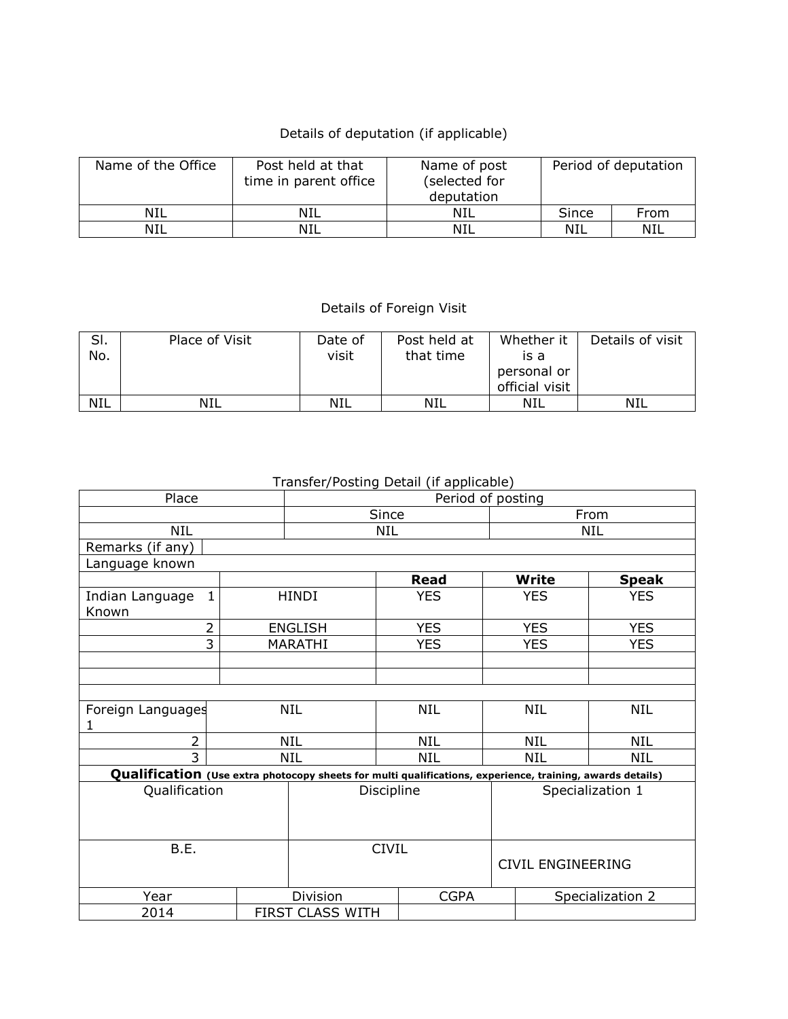## Details of deputation (if applicable)

| Name of the Office | Post held at that<br>time in parent office | Name of post<br>(selected for<br>deputation | Period of deputation |      |  |  |
|--------------------|--------------------------------------------|---------------------------------------------|----------------------|------|--|--|
| NIL                | NIL                                        | NIL                                         | Since                | From |  |  |
| NIL                | NIL                                        | NIL                                         | NIL                  | NIL  |  |  |

## Details of Foreign Visit

| SI.<br>No. | Place of Visit | Date of<br>visit | Post held at<br>that time | Whether it<br>is a<br>personal or<br>official visit | Details of visit |
|------------|----------------|------------------|---------------------------|-----------------------------------------------------|------------------|
| <b>NIL</b> | NIL            | NIL              | NIL                       | NIL                                                 | NIL              |

## Transfer/Posting Detail (if applicable)

| Place                                                                                                     |            | Period of posting        |              |  |                          |              |  |  |
|-----------------------------------------------------------------------------------------------------------|------------|--------------------------|--------------|--|--------------------------|--------------|--|--|
|                                                                                                           |            |                          | Since        |  | From                     |              |  |  |
| NIL                                                                                                       |            |                          | NIL          |  | <b>NIL</b>               |              |  |  |
| Remarks (if any)                                                                                          |            |                          |              |  |                          |              |  |  |
| Language known                                                                                            |            |                          |              |  |                          |              |  |  |
|                                                                                                           |            |                          | <b>Read</b>  |  | Write                    | <b>Speak</b> |  |  |
| $\mathbf{1}$<br>Indian Language                                                                           |            | <b>HINDI</b>             | <b>YES</b>   |  | <b>YES</b>               | <b>YES</b>   |  |  |
| Known                                                                                                     |            |                          |              |  |                          |              |  |  |
| 2                                                                                                         |            | <b>ENGLISH</b>           | <b>YES</b>   |  | <b>YES</b>               | <b>YES</b>   |  |  |
| $\overline{3}$                                                                                            |            | MARATHI                  | <b>YES</b>   |  | <b>YES</b>               | <b>YES</b>   |  |  |
|                                                                                                           |            |                          |              |  |                          |              |  |  |
|                                                                                                           |            |                          |              |  |                          |              |  |  |
|                                                                                                           |            |                          |              |  |                          |              |  |  |
| Foreign Languages                                                                                         |            | NIL                      | <b>NIL</b>   |  | NIL                      | NIL          |  |  |
| 1                                                                                                         |            |                          |              |  |                          |              |  |  |
| $\overline{2}$                                                                                            |            | NIL                      | <b>NIL</b>   |  | <b>NIL</b>               | NIL          |  |  |
| $\overline{3}$                                                                                            | <b>NIL</b> | <b>NIL</b><br><b>NIL</b> |              |  |                          |              |  |  |
| Qualification (Use extra photocopy sheets for multi qualifications, experience, training, awards details) |            |                          |              |  |                          |              |  |  |
| Qualification                                                                                             |            |                          | Discipline   |  | Specialization 1         |              |  |  |
|                                                                                                           |            |                          |              |  |                          |              |  |  |
|                                                                                                           |            |                          |              |  |                          |              |  |  |
| B.E.                                                                                                      |            |                          |              |  |                          |              |  |  |
|                                                                                                           |            |                          | <b>CIVIL</b> |  |                          |              |  |  |
|                                                                                                           |            |                          |              |  | <b>CIVIL ENGINEERING</b> |              |  |  |
| Year                                                                                                      |            | Division                 | <b>CGPA</b>  |  | Specialization 2         |              |  |  |
| 2014                                                                                                      |            | FIRST CLASS WITH         |              |  |                          |              |  |  |
|                                                                                                           |            |                          |              |  |                          |              |  |  |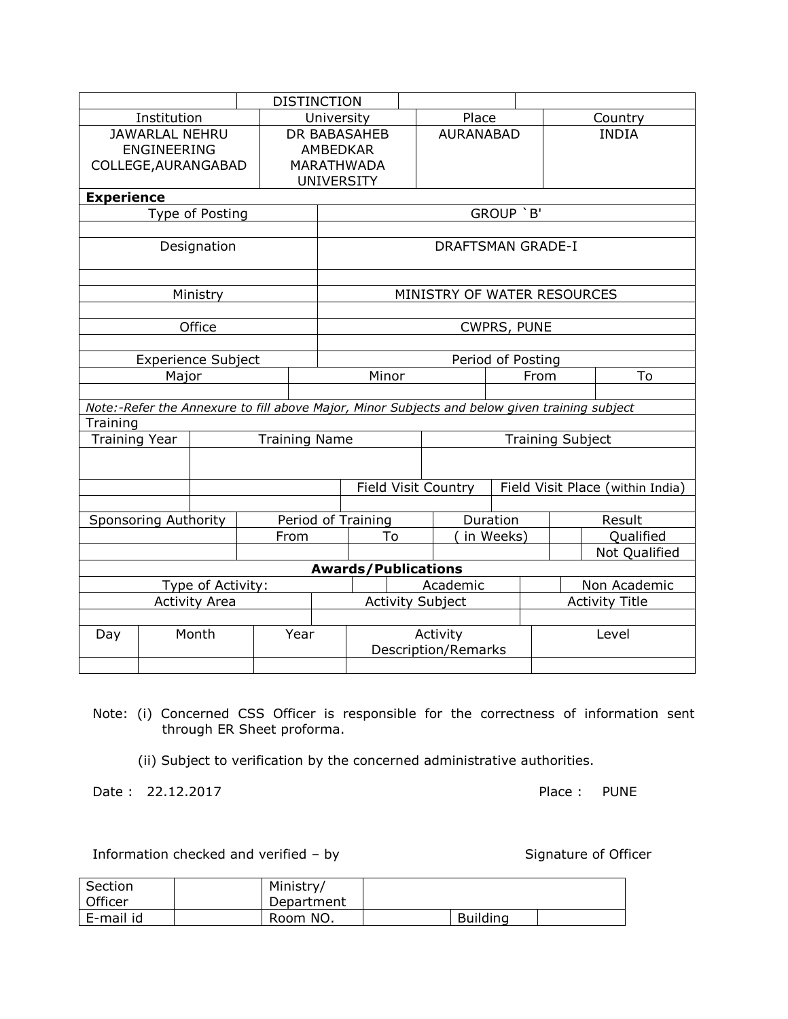|                      |                                                                                               |  |      | <b>DISTINCTION</b>                      |                                                 |                   |                             |             |  |                                  |               |  |  |
|----------------------|-----------------------------------------------------------------------------------------------|--|------|-----------------------------------------|-------------------------------------------------|-------------------|-----------------------------|-------------|--|----------------------------------|---------------|--|--|
|                      | Institution                                                                                   |  |      | University                              |                                                 |                   | Place                       |             |  |                                  | Country       |  |  |
|                      | <b>JAWARLAL NEHRU</b>                                                                         |  |      | <b>DR BABASAHEB</b><br><b>AURANABAD</b> |                                                 |                   |                             |             |  | <b>INDIA</b>                     |               |  |  |
|                      | <b>ENGINEERING</b>                                                                            |  |      |                                         | <b>AMBEDKAR</b>                                 |                   |                             |             |  |                                  |               |  |  |
| COLLEGE, AURANGABAD  |                                                                                               |  |      |                                         | <b>MARATHWADA</b>                               |                   |                             |             |  |                                  |               |  |  |
|                      | <b>UNIVERSITY</b>                                                                             |  |      |                                         |                                                 |                   |                             |             |  |                                  |               |  |  |
| <b>Experience</b>    |                                                                                               |  |      |                                         |                                                 |                   |                             |             |  |                                  |               |  |  |
|                      | Type of Posting                                                                               |  |      |                                         | GROUP `B'                                       |                   |                             |             |  |                                  |               |  |  |
|                      |                                                                                               |  |      |                                         |                                                 |                   |                             |             |  |                                  |               |  |  |
|                      | Designation                                                                                   |  |      |                                         |                                                 |                   | <b>DRAFTSMAN GRADE-I</b>    |             |  |                                  |               |  |  |
|                      |                                                                                               |  |      |                                         |                                                 |                   |                             |             |  |                                  |               |  |  |
|                      | Ministry                                                                                      |  |      |                                         |                                                 |                   | MINISTRY OF WATER RESOURCES |             |  |                                  |               |  |  |
|                      |                                                                                               |  |      |                                         |                                                 |                   |                             |             |  |                                  |               |  |  |
|                      | Office                                                                                        |  |      |                                         |                                                 |                   |                             | CWPRS, PUNE |  |                                  |               |  |  |
|                      |                                                                                               |  |      |                                         |                                                 |                   |                             |             |  |                                  |               |  |  |
|                      | Experience Subject                                                                            |  |      |                                         |                                                 | Period of Posting |                             |             |  |                                  |               |  |  |
|                      | Major                                                                                         |  |      |                                         | Minor<br>From                                   |                   |                             |             |  |                                  | To            |  |  |
|                      |                                                                                               |  |      |                                         |                                                 |                   |                             |             |  |                                  |               |  |  |
|                      | Note:-Refer the Annexure to fill above Major, Minor Subjects and below given training subject |  |      |                                         |                                                 |                   |                             |             |  |                                  |               |  |  |
| Training             |                                                                                               |  |      |                                         |                                                 |                   |                             |             |  |                                  |               |  |  |
| <b>Training Year</b> |                                                                                               |  |      |                                         | <b>Training Name</b><br><b>Training Subject</b> |                   |                             |             |  |                                  |               |  |  |
|                      |                                                                                               |  |      |                                         |                                                 |                   |                             |             |  |                                  |               |  |  |
|                      |                                                                                               |  |      |                                         | <b>Field Visit Country</b>                      |                   |                             |             |  | Field Visit Place (within India) |               |  |  |
|                      |                                                                                               |  |      |                                         |                                                 |                   |                             |             |  |                                  |               |  |  |
|                      | <b>Sponsoring Authority</b>                                                                   |  |      |                                         | Duration<br>Period of Training                  |                   |                             |             |  |                                  | Result        |  |  |
|                      |                                                                                               |  | From |                                         | To                                              |                   | in Weeks)                   |             |  |                                  | Qualified     |  |  |
|                      |                                                                                               |  |      |                                         |                                                 |                   |                             |             |  |                                  | Not Qualified |  |  |
|                      |                                                                                               |  |      |                                         | <b>Awards/Publications</b>                      |                   |                             |             |  |                                  |               |  |  |
|                      | Type of Activity:                                                                             |  |      |                                         | Academic                                        |                   |                             |             |  |                                  | Non Academic  |  |  |
| <b>Activity Area</b> |                                                                                               |  |      |                                         | <b>Activity Subject</b>                         |                   |                             |             |  | <b>Activity Title</b>            |               |  |  |
|                      |                                                                                               |  |      |                                         |                                                 |                   |                             |             |  |                                  |               |  |  |
| Day                  | Month                                                                                         |  | Year |                                         | Activity<br><b>Description/Remarks</b>          |                   |                             |             |  |                                  | Level         |  |  |
|                      |                                                                                               |  |      |                                         |                                                 |                   |                             |             |  |                                  |               |  |  |

- Note: (i) Concerned CSS Officer is responsible for the correctness of information sent through ER Sheet proforma.
	- (ii) Subject to verification by the concerned administrative authorities.

Date : 22.12.2017 Place : PUNE

Information checked and verified – by Signature of Officer

| Section        | Ministry/  |                 |  |
|----------------|------------|-----------------|--|
| <b>Officer</b> | Department |                 |  |
| E-mail id      | Room NO.   | <b>Building</b> |  |